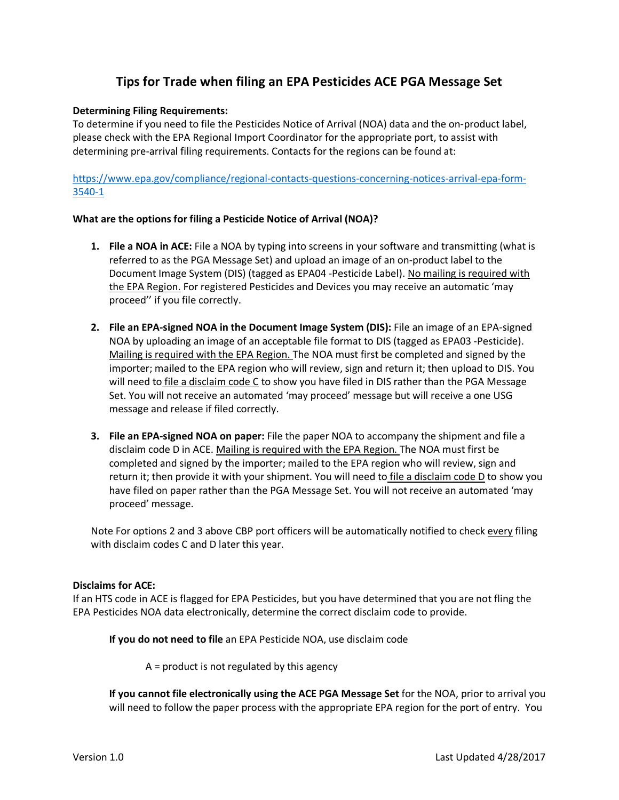# **Tips for Trade when filing an EPA Pesticides ACE PGA Message Set**

### **Determining Filing Requirements:**

To determine if you need to file the Pesticides Notice of Arrival (NOA) data and the on-product label, please check with the EPA Regional Import Coordinator for the appropriate port, to assist with determining pre-arrival filing requirements. Contacts for the regions can be found at:

[https://www.epa.gov/compliance/regional-contacts-questions-concerning-notices-arrival-epa-form-](https://www.epa.gov/compliance/regional-contacts-questions-concerning-notices-arrival-epa-form-3540-1)[3540-1](https://www.epa.gov/compliance/regional-contacts-questions-concerning-notices-arrival-epa-form-3540-1)

#### **What are the options for filing a Pesticide Notice of Arrival (NOA)?**

- **1. File a NOA in ACE:** File a NOA by typing into screens in your software and transmitting (what is referred to as the PGA Message Set) and upload an image of an on-product label to the Document Image System (DIS) (tagged as EPA04 -Pesticide Label). No mailing is required with the EPA Region. For registered Pesticides and Devices you may receive an automatic 'may proceed'' if you file correctly.
- **2. File an EPA-signed NOA in the Document Image System (DIS):** File an image of an EPA-signed NOA by uploading an image of an acceptable file format to DIS (tagged as EPA03 -Pesticide). Mailing is required with the EPA Region. The NOA must first be completed and signed by the importer; mailed to the EPA region who will review, sign and return it; then upload to DIS. You will need to *file a disclaim code*  $C$  to show you have filed in DIS rather than the PGA Message Set. You will not receive an automated 'may proceed' message but will receive a one USG message and release if filed correctly.
- **3. File an EPA-signed NOA on paper:** File the paper NOA to accompany the shipment and file a disclaim code D in ACE. Mailing is required with the EPA Region. The NOA must first be completed and signed by the importer; mailed to the EPA region who will review, sign and return it; then provide it with your shipment. You will need to file a disclaim code D to show you have filed on paper rather than the PGA Message Set. You will not receive an automated 'may proceed' message.

Note For options 2 and 3 above CBP port officers will be automatically notified to check every filing with disclaim codes C and D later this year.

#### **Disclaims for ACE:**

If an HTS code in ACE is flagged for EPA Pesticides, but you have determined that you are not fling the EPA Pesticides NOA data electronically, determine the correct disclaim code to provide.

**If you do not need to file** an EPA Pesticide NOA, use disclaim code

A = product is not regulated by this agency

**If you cannot file electronically using the ACE PGA Message Set** for the NOA, prior to arrival you will need to follow the paper process with the appropriate EPA region for the port of entry. You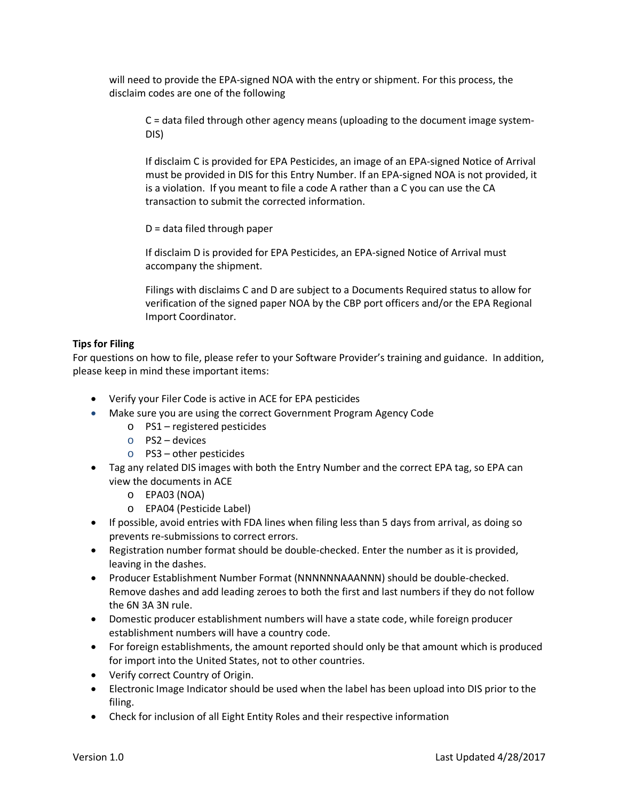will need to provide the EPA-signed NOA with the entry or shipment. For this process, the disclaim codes are one of the following

C = data filed through other agency means (uploading to the document image system-DIS)

If disclaim C is provided for EPA Pesticides, an image of an EPA-signed Notice of Arrival must be provided in DIS for this Entry Number. If an EPA-signed NOA is not provided, it is a violation. If you meant to file a code A rather than a C you can use the CA transaction to submit the corrected information.

D = data filed through paper

If disclaim D is provided for EPA Pesticides, an EPA-signed Notice of Arrival must accompany the shipment.

Filings with disclaims C and D are subject to a Documents Required status to allow for verification of the signed paper NOA by the CBP port officers and/or the EPA Regional Import Coordinator.

## **Tips for Filing**

For questions on how to file, please refer to your Software Provider's training and guidance. In addition, please keep in mind these important items:

- Verify your Filer Code is active in ACE for EPA pesticides
- Make sure you are using the correct Government Program Agency Code
	- o PS1 registered pesticides
	- o PS2 devices
	- o PS3 other pesticides
- Tag any related DIS images with both the Entry Number and the correct EPA tag, so EPA can view the documents in ACE
	- o EPA03 (NOA)
	- o EPA04 (Pesticide Label)
- If possible, avoid entries with FDA lines when filing less than 5 days from arrival, as doing so prevents re-submissions to correct errors.
- Registration number format should be double-checked. Enter the number as it is provided, leaving in the dashes.
- Producer Establishment Number Format (NNNNNNAAANNN) should be double-checked. Remove dashes and add leading zeroes to both the first and last numbers if they do not follow the 6N 3A 3N rule.
- Domestic producer establishment numbers will have a state code, while foreign producer establishment numbers will have a country code.
- For foreign establishments, the amount reported should only be that amount which is produced for import into the United States, not to other countries.
- Verify correct Country of Origin.
- Electronic Image Indicator should be used when the label has been upload into DIS prior to the filing.
- Check for inclusion of all Eight Entity Roles and their respective information